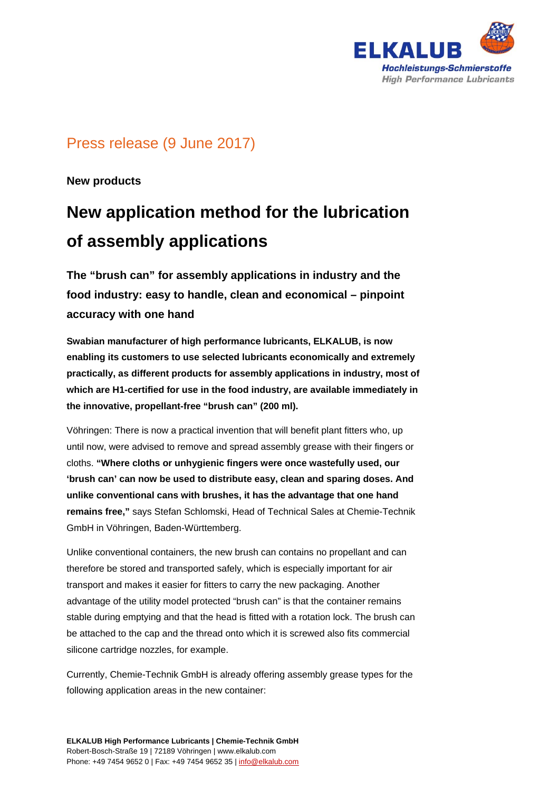

# Press release (9 June 2017)

**New products** 

# **New application method for the lubrication of assembly applications**

**The "brush can" for assembly applications in industry and the food industry: easy to handle, clean and economical – pinpoint accuracy with one hand** 

**Swabian manufacturer of high performance lubricants, ELKALUB, is now enabling its customers to use selected lubricants economically and extremely practically, as different products for assembly applications in industry, most of which are H1-certified for use in the food industry, are available immediately in the innovative, propellant-free "brush can" (200 ml).** 

Vöhringen: There is now a practical invention that will benefit plant fitters who, up until now, were advised to remove and spread assembly grease with their fingers or cloths. **"Where cloths or unhygienic fingers were once wastefully used, our 'brush can' can now be used to distribute easy, clean and sparing doses. And unlike conventional cans with brushes, it has the advantage that one hand remains free,"** says Stefan Schlomski, Head of Technical Sales at Chemie-Technik GmbH in Vöhringen, Baden-Württemberg.

Unlike conventional containers, the new brush can contains no propellant and can therefore be stored and transported safely, which is especially important for air transport and makes it easier for fitters to carry the new packaging. Another advantage of the utility model protected "brush can" is that the container remains stable during emptying and that the head is fitted with a rotation lock. The brush can be attached to the cap and the thread onto which it is screwed also fits commercial silicone cartridge nozzles, for example.

Currently, Chemie-Technik GmbH is already offering assembly grease types for the following application areas in the new container: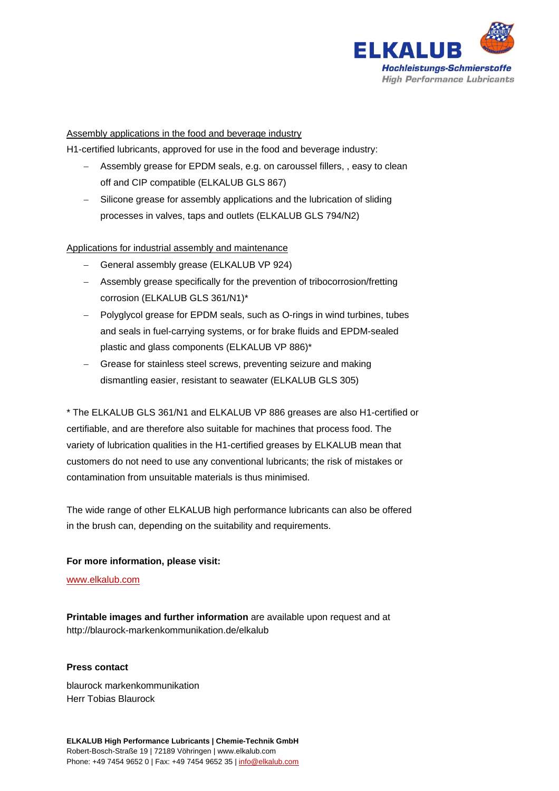

## Assembly applications in the food and beverage industry

H1-certified lubricants, approved for use in the food and beverage industry:

- Assembly grease for EPDM seals, e.g. on caroussel fillers, , easy to clean off and CIP compatible (ELKALUB GLS 867)
- Silicone grease for assembly applications and the lubrication of sliding processes in valves, taps and outlets (ELKALUB GLS 794/N2)

## Applications for industrial assembly and maintenance

- General assembly grease (ELKALUB VP 924)
- Assembly grease specifically for the prevention of tribocorrosion/fretting corrosion (ELKALUB GLS 361/N1)\*
- Polyglycol grease for EPDM seals, such as O-rings in wind turbines, tubes and seals in fuel-carrying systems, or for brake fluids and EPDM-sealed plastic and glass components (ELKALUB VP 886)\*
- Grease for stainless steel screws, preventing seizure and making dismantling easier, resistant to seawater (ELKALUB GLS 305)

\* The ELKALUB GLS 361/N1 and ELKALUB VP 886 greases are also H1-certified or certifiable, and are therefore also suitable for machines that process food. The variety of lubrication qualities in the H1-certified greases by ELKALUB mean that customers do not need to use any conventional lubricants; the risk of mistakes or contamination from unsuitable materials is thus minimised.

The wide range of other ELKALUB high performance lubricants can also be offered in the brush can, depending on the suitability and requirements.

#### **For more information, please visit:**

www.elkalub.com

**Printable images and further information** are available upon request and at http://blaurock-markenkommunikation.de/elkalub

#### **Press contact**

blaurock markenkommunikation Herr Tobias Blaurock